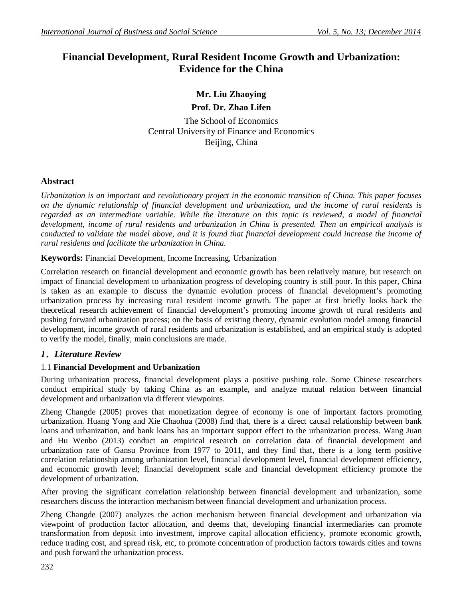# **Financial Development, Rural Resident Income Growth and Urbanization: Evidence for the China**

# **Mr. Liu Zhaoying Prof. Dr. Zhao Lifen**

The School of Economics Central University of Finance and Economics Beijing, China

# **Abstract**

*Urbanization is an important and revolutionary project in the economic transition of China. This paper focuses on the dynamic relationship of financial development and urbanization, and the income of rural residents is regarded as an intermediate variable. While the literature on this topic is reviewed, a model of financial development, income of rural residents and urbanization in China is presented. Then an empirical analysis is conducted to validate the model above, and it is found that financial development could increase the income of rural residents and facilitate the urbanization in China.*

# **Keywords:** Financial Development, Income Increasing, Urbanization

Correlation research on financial development and economic growth has been relatively mature, but research on impact of financial development to urbanization progress of developing country is still poor. In this paper, China is taken as an example to discuss the dynamic evolution process of financial development's promoting urbanization process by increasing rural resident income growth. The paper at first briefly looks back the theoretical research achievement of financial development's promoting income growth of rural residents and pushing forward urbanization process; on the basis of existing theory, dynamic evolution model among financial development, income growth of rural residents and urbanization is established, and an empirical study is adopted to verify the model, finally, main conclusions are made.

# *1.Literature Review*

# 1.1 **Financial Development and Urbanization**

During urbanization process, financial development plays a positive pushing role. Some Chinese researchers conduct empirical study by taking China as an example, and analyze mutual relation between financial development and urbanization via different viewpoints.

Zheng Changde (2005) proves that monetization degree of economy is one of important factors promoting urbanization. Huang Yong and Xie Chaohua (2008) find that, there is a direct causal relationship between bank loans and urbanization, and bank loans has an important support effect to the urbanization process. Wang Juan and Hu Wenbo (2013) conduct an empirical research on correlation data of financial development and urbanization rate of Gansu Province from 1977 to 2011, and they find that, there is a long term positive correlation relationship among urbanization level, financial development level, financial development efficiency, and economic growth level; financial development scale and financial development efficiency promote the development of urbanization.

After proving the significant correlation relationship between financial development and urbanization, some researchers discuss the interaction mechanism between financial development and urbanization process.

Zheng Changde (2007) analyzes the action mechanism between financial development and urbanization via viewpoint of production factor allocation, and deems that, developing financial intermediaries can promote transformation from deposit into investment, improve capital allocation efficiency, promote economic growth, reduce trading cost, and spread risk, etc, to promote concentration of production factors towards cities and towns and push forward the urbanization process.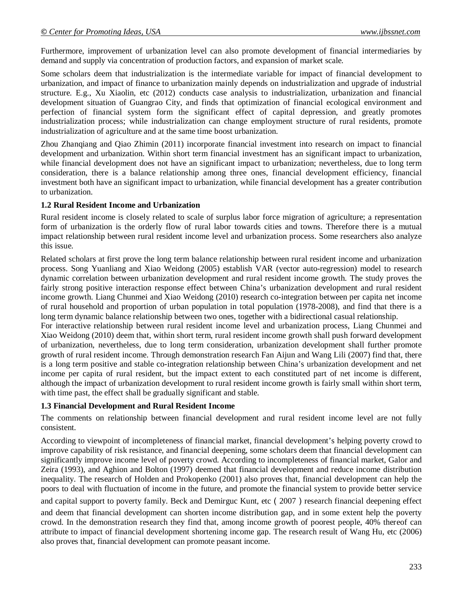Furthermore, improvement of urbanization level can also promote development of financial intermediaries by demand and supply via concentration of production factors, and expansion of market scale.

Some scholars deem that industrialization is the intermediate variable for impact of financial development to urbanization, and impact of finance to urbanization mainly depends on industrialization and upgrade of industrial structure. E.g., Xu Xiaolin, etc (2012) conducts case analysis to industrialization, urbanization and financial development situation of Guangrao City, and finds that optimization of financial ecological environment and perfection of financial system form the significant effect of capital depression, and greatly promotes industrialization process; while industrialization can change employment structure of rural residents, promote industrialization of agriculture and at the same time boost urbanization.

Zhou Zhanqiang and Qiao Zhimin (2011) incorporate financial investment into research on impact to financial development and urbanization. Within short term financial investment has an significant impact to urbanization, while financial development does not have an significant impact to urbanization; nevertheless, due to long term consideration, there is a balance relationship among three ones, financial development efficiency, financial investment both have an significant impact to urbanization, while financial development has a greater contribution to urbanization.

#### **1.2 Rural Resident Income and Urbanization**

Rural resident income is closely related to scale of surplus labor force migration of agriculture; a representation form of urbanization is the orderly flow of rural labor towards cities and towns. Therefore there is a mutual impact relationship between rural resident income level and urbanization process. Some researchers also analyze this issue.

Related scholars at first prove the long term balance relationship between rural resident income and urbanization process. Song Yuanliang and Xiao Weidong (2005) establish VAR (vector auto-regression) model to research dynamic correlation between urbanization development and rural resident income growth. The study proves the fairly strong positive interaction response effect between China's urbanization development and rural resident income growth. Liang Chunmei and Xiao Weidong (2010) research co-integration between per capita net income of rural household and proportion of urban population in total population (1978-2008), and find that there is a long term dynamic balance relationship between two ones, together with a bidirectional casual relationship.

For interactive relationship between rural resident income level and urbanization process, Liang Chunmei and Xiao Weidong (2010) deem that, within short term, rural resident income growth shall push forward development of urbanization, nevertheless, due to long term consideration, urbanization development shall further promote growth of rural resident income. Through demonstration research Fan Aijun and Wang Lili (2007) find that, there is a long term positive and stable co-integration relationship between China's urbanization development and net income per capita of rural resident, but the impact extent to each constituted part of net income is different, although the impact of urbanization development to rural resident income growth is fairly small within short term, with time past, the effect shall be gradually significant and stable.

#### **1.3 Financial Development and Rural Resident Income**

The comments on relationship between financial development and rural resident income level are not fully consistent.

According to viewpoint of incompleteness of financial market, financial development's helping poverty crowd to improve capability of risk resistance, and financial deepening, some scholars deem that financial development can significantly improve income level of poverty crowd. According to incompleteness of financial market, Galor and Zeira (1993), and Aghion and Bolton (1997) deemed that financial development and reduce income distribution inequality. The research of Holden and Prokopenko (2001) also proves that, financial development can help the poors to deal with fluctuation of income in the future, and promote the financial system to provide better service

and capital support to poverty family. Beck and Demirguc Kunt, etc (2007) research financial deepening effect and deem that financial development can shorten income distribution gap, and in some extent help the poverty crowd. In the demonstration research they find that, among income growth of poorest people, 40% thereof can attribute to impact of financial development shortening income gap. The research result of Wang Hu, etc (2006) also proves that, financial development can promote peasant income.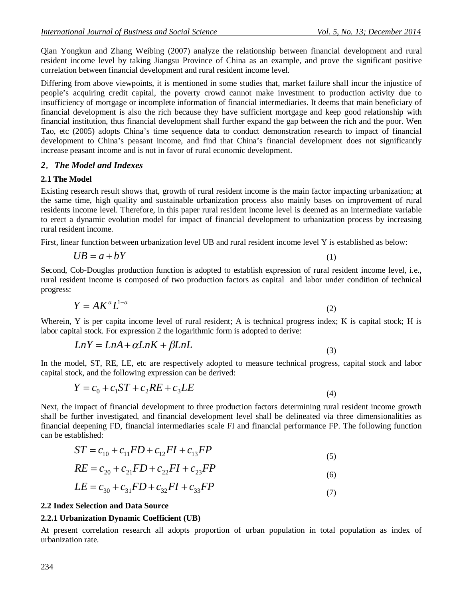Qian Yongkun and Zhang Weibing (2007) analyze the relationship between financial development and rural resident income level by taking Jiangsu Province of China as an example, and prove the significant positive correlation between financial development and rural resident income level.

Differing from above viewpoints, it is mentioned in some studies that, market failure shall incur the injustice of people's acquiring credit capital, the poverty crowd cannot make investment to production activity due to insufficiency of mortgage or incomplete information of financial intermediaries. It deems that main beneficiary of financial development is also the rich because they have sufficient mortgage and keep good relationship with financial institution, thus financial development shall further expand the gap between the rich and the poor. Wen Tao, etc (2005) adopts China's time sequence data to conduct demonstration research to impact of financial development to China's peasant income, and find that China's financial development does not significantly increase peasant income and is not in favor of rural economic development.

## *2.The Model and Indexes*

#### **2.1 The Model**

Existing research result shows that, growth of rural resident income is the main factor impacting urbanization; at the same time, high quality and sustainable urbanization process also mainly bases on improvement of rural residents income level. Therefore, in this paper rural resident income level is deemed as an intermediate variable to erect a dynamic evolution model for impact of financial development to urbanization process by increasing rural resident income.

First, linear function between urbanization level UB and rural resident income level Y is established as below:

$$
UB = a + bY \tag{1}
$$

Second, Cob-Douglas production function is adopted to establish expression of rural resident income level, i.e., rural resident income is composed of two production factors as capital and labor under condition of technical progress:

$$
Y = AK^{\alpha}L^{1-\alpha} \tag{2}
$$

Wherein, Y is per capita income level of rural resident; A is technical progress index; K is capital stock; H is labor capital stock. For expression 2 the logarithmic form is adopted to derive:

$$
LnY = LnA + \alpha LnK + \beta LnL
$$
\n(3)

In the model, ST, RE, LE, etc are respectively adopted to measure technical progress, capital stock and labor capital stock, and the following expression can be derived:

$$
Y = c_0 + c_1 ST + c_2 RE + c_3 LE
$$
\n(4)

Next, the impact of financial development to three production factors determining rural resident income growth shall be further investigated, and financial development level shall be delineated via three dimensionalities as financial deepening FD, financial intermediaries scale FI and financial performance FP. The following function can be established:

$$
ST = c_{10} + c_{11} FD + c_{12} FI + c_{13} FP
$$
\n(5)

$$
RE = c_{20} + c_{21}FD + c_{22}FI + c_{23}FP
$$
\n(6)

$$
LE = c_{30} + c_{31} FD + c_{32} FI + c_{33} FP
$$
\n(7)

#### **2.2 Index Selection and Data Source**

## **2.2.1 Urbanization Dynamic Coefficient (UB)**

At present correlation research all adopts proportion of urban population in total population as index of urbanization rate.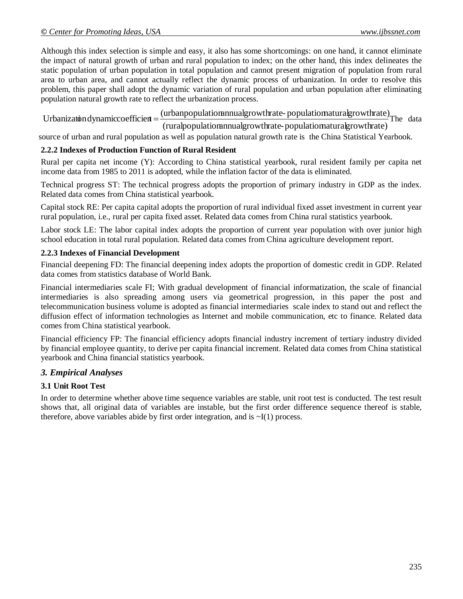Although this index selection is simple and easy, it also has some shortcomings: on one hand, it cannot eliminate the impact of natural growth of urban and rural population to index; on the other hand, this index delineates the static population of urban population in total population and cannot present migration of population from rural area to urban area, and cannot actually reflect the dynamic process of urbanization. In order to resolve this problem, this paper shall adopt the dynamic variation of rural population and urban population after eliminating population natural growth rate to reflect the urbanization process.

(ruralpopulatiomnnualgrowthrate-populatiomaturalgrowthrate) Urbanization dynamiccoefficient =  $\frac{\text{(urban population n n u} \text{alground})}{\text{Unbound n u}}$  The data

source of urban and rural population as well as population natural growth rate is the China Statistical Yearbook.

#### **2.2.2 Indexes of Production Function of Rural Resident**

Rural per capita net income (Y): According to China statistical yearbook, rural resident family per capita net income data from 1985 to 2011 is adopted, while the inflation factor of the data is eliminated.

Technical progress ST: The technical progress adopts the proportion of primary industry in GDP as the index. Related data comes from China statistical yearbook.

Capital stock RE: Per capita capital adopts the proportion of rural individual fixed asset investment in current year rural population, i.e., rural per capita fixed asset. Related data comes from China rural statistics yearbook.

Labor stock LE: The labor capital index adopts the proportion of current year population with over junior high school education in total rural population. Related data comes from China agriculture development report.

#### **2.2.3 Indexes of Financial Development**

Financial deepening FD: The financial deepening index adopts the proportion of domestic credit in GDP. Related data comes from statistics database of World Bank.

Financial intermediaries scale FI; With gradual development of financial informatization, the scale of financial intermediaries is also spreading among users via geometrical progression, in this paper the post and telecommunication business volume is adopted as financial intermediaries scale index to stand out and reflect the diffusion effect of information technologies as Internet and mobile communication, etc to finance. Related data comes from China statistical yearbook.

Financial efficiency FP: The financial efficiency adopts financial industry increment of tertiary industry divided by financial employee quantity, to derive per capita financial increment. Related data comes from China statistical yearbook and China financial statistics yearbook.

## *3. Empirical Analyses*

## **3.1 Unit Root Test**

In order to determine whether above time sequence variables are stable, unit root test is conducted. The test result shows that, all original data of variables are instable, but the first order difference sequence thereof is stable, therefore, above variables abide by first order integration, and is  $\sim I(1)$  process.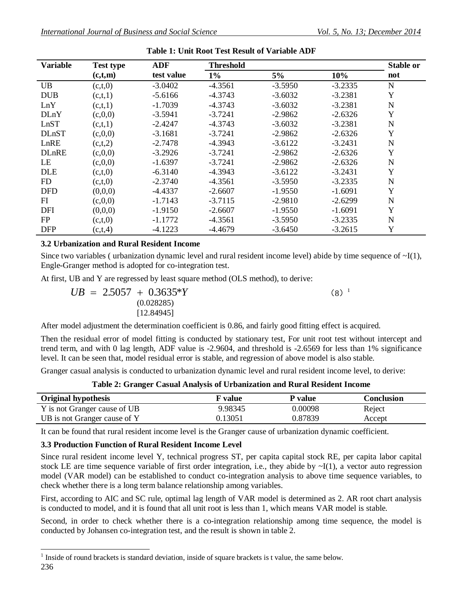| <b>Variable</b> | <b>Test type</b> | <b>ADF</b> | <b>Threshold</b> |           |           | <b>Stable or</b> |
|-----------------|------------------|------------|------------------|-----------|-----------|------------------|
|                 | (c,t,m)          | test value | $1\%$            | 5%        | 10%       | not              |
| <b>UB</b>       | (c,t,0)          | $-3.0402$  | $-4.3561$        | $-3.5950$ | $-3.2335$ | $\mathbf N$      |
| <b>DUB</b>      | (c,t,1)          | $-5.6166$  | $-4.3743$        | $-3.6032$ | $-3.2381$ | Y                |
| LnY             | (c,t,1)          | $-1.7039$  | $-4.3743$        | $-3.6032$ | $-3.2381$ | N                |
| <b>DLnY</b>     | (c, 0, 0)        | $-3.5941$  | $-3.7241$        | $-2.9862$ | $-2.6326$ | Y                |
| LnST            | (c,t,1)          | $-2.4247$  | $-4.3743$        | $-3.6032$ | $-3.2381$ | N                |
| <b>DLnST</b>    | (c,0,0)          | $-3.1681$  | $-3.7241$        | $-2.9862$ | $-2.6326$ | Y                |
| LnRE            | (c,t,2)          | $-2.7478$  | $-4.3943$        | $-3.6122$ | $-3.2431$ | N                |
| <b>DLnRE</b>    | (c, 0, 0)        | $-3.2926$  | $-3.7241$        | $-2.9862$ | $-2.6326$ | Y                |
| LE              | (c,0,0)          | $-1.6397$  | $-3.7241$        | $-2.9862$ | $-2.6326$ | N                |
| <b>DLE</b>      | (c,t,0)          | $-6.3140$  | $-4.3943$        | $-3.6122$ | $-3.2431$ | $\mathbf Y$      |
| FD              | (c,t,0)          | $-2.3740$  | $-4.3561$        | $-3.5950$ | $-3.2335$ | N                |
| <b>DFD</b>      | (0,0,0)          | $-4.4337$  | $-2.6607$        | $-1.9550$ | $-1.6091$ | Y                |
| FI              | (c,0,0)          | $-1.7143$  | $-3.7115$        | $-2.9810$ | $-2.6299$ | N                |
| DFI             | (0,0,0)          | $-1.9150$  | $-2.6607$        | $-1.9550$ | $-1.6091$ | Y                |
| FP              | (c,t,0)          | $-1.1772$  | $-4.3561$        | $-3.5950$ | $-3.2335$ | N                |
| <b>DFP</b>      | (c, t, 4)        | $-4.1223$  | $-4.4679$        | $-3.6450$ | $-3.2615$ | Y                |

**Table 1: Unit Root Test Result of Variable ADF**

## **3.2 Urbanization and Rural Resident Income**

Since two variables ( urbanization dynamic level and rural resident income level) abide by time sequence of  $\sim I(1)$ , Engle-Granger method is adopted for co-integration test.

At first, UB and Y are regressed by least square method (OLS method), to derive:

$$
UB = 2.5057 + 0.3635*Y
$$
  
\n(0.028285)  
\n[12.84945] (8)

After model adjustment the determination coefficient is 0.86, and fairly good fitting effect is acquired.

Then the residual error of model fitting is conducted by stationary test, For unit root test without intercept and trend term, and with 0 lag length, ADF value is -2.9604, and threshold is -2.6569 for less than 1% significance level. It can be seen that, model residual error is stable, and regression of above model is also stable.

Granger casual analysis is conducted to urbanization dynamic level and rural resident income level, to derive:

| Table 2: Granger Casual Analysis of Urbanization and Rural Resident Income |  |  |  |  |  |  |  |
|----------------------------------------------------------------------------|--|--|--|--|--|--|--|
|----------------------------------------------------------------------------|--|--|--|--|--|--|--|

| <b>Original hypothesis</b>   | F value | P value | <b>Conclusion</b> |
|------------------------------|---------|---------|-------------------|
| Y is not Granger cause of UB | 9.98345 | 0.00098 | Reject            |
| UB is not Granger cause of Y | 0.13051 | 0.87839 | Accept            |

It can be found that rural resident income level is the Granger cause of urbanization dynamic coefficient.

## **3.3 Production Function of Rural Resident Income Level**

Since rural resident income level Y, technical progress ST, per capita capital stock RE, per capita labor capital stock LE are time sequence variable of first order integration, i.e., they abide by  $\sim I(1)$ , a vector auto regression model (VAR model) can be established to conduct co-integration analysis to above time sequence variables, to check whether there is a long term balance relationship among variables.

First, according to AIC and SC rule, optimal lag length of VAR model is determined as 2. AR root chart analysis is conducted to model, and it is found that all unit root is less than 1, which means VAR model is stable.

Second, in order to check whether there is a co-integration relationship among time sequence, the model is conducted by Johansen co-integration test, and the result is shown in table 2.

<sup>236</sup>  $\overline{a}$ 1 Inside of round brackets is standard deviation, inside of square brackets is t value, the same below.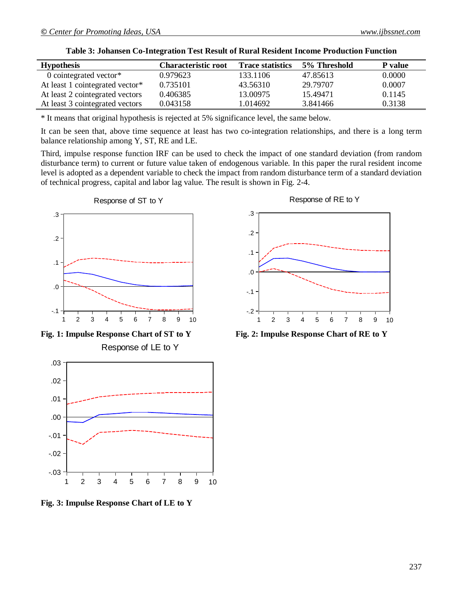| <b>Hypothesis</b>               | <b>Characteristic root</b> | <b>Trace statistics</b> | 5% Threshold | <b>P</b> value |
|---------------------------------|----------------------------|-------------------------|--------------|----------------|
| 0 cointegrated vector $*$       | 0.979623                   | 133.1106                | 47.85613     | 0.0000         |
| At least 1 cointegrated vector* | 0.735101                   | 43.56310                | 29.79707     | 0.0007         |
| At least 2 cointegrated vectors | 0.406385                   | 13.00975                | 15.49471     | 0.1145         |
| At least 3 cointegrated vectors | 0.043158                   | 1.014692                | 3.841466     | 0.3138         |

**Table 3: Johansen Co-Integration Test Result of Rural Resident Income Production Function**

\* It means that original hypothesis is rejected at 5% significance level, the same below.

It can be seen that, above time sequence at least has two co-integration relationships, and there is a long term balance relationship among Y, ST, RE and LE.

Third, impulse response function IRF can be used to check the impact of one standard deviation (from random disturbance term) to current or future value taken of endogenous variable. In this paper the rural resident income level is adopted as a dependent variable to check the impact from random disturbance term of a standard deviation of technical progress, capital and labor lag value. The result is shown in Fig. 2-4.





**Fig. 3: Impulse Response Chart of LE to Y**



**Fig. 1: Impulse Response Chart of ST to Y Fig. 2: Impulse Response Chart of RE to Y**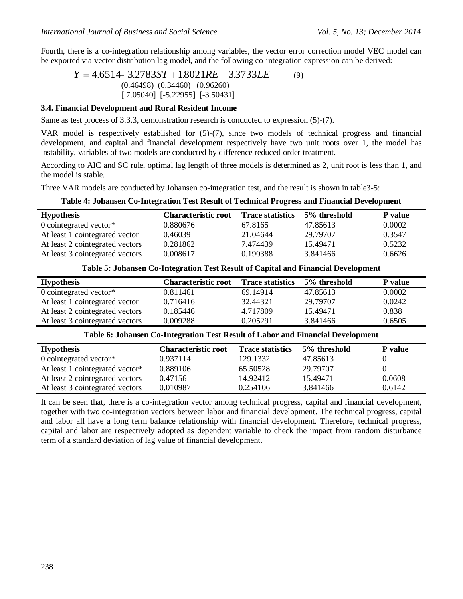Fourth, there is a co-integration relationship among variables, the vector error correction model VEC model can be exported via vector distribution lag model, and the following co-integration expression can be derived:

 $Y = 4.6514 - 3.2783ST + 1.8021RE + 3.3733LE$  (9) (0.46498) (0.34460) (0.96260) [ 7.05040] [-5.22955] [-3.50431]

#### **3.4. Financial Development and Rural Resident Income**

Same as test process of 3.3.3, demonstration research is conducted to expression (5)-(7).

VAR model is respectively established for (5)-(7), since two models of technical progress and financial development, and capital and financial development respectively have two unit roots over 1, the model has instability, variables of two models are conducted by difference reduced order treatment.

According to AIC and SC rule, optimal lag length of three models is determined as 2, unit root is less than 1, and the model is stable.

Three VAR models are conducted by Johansen co-integration test, and the result is shown in table3-5:

| Tuble to onumber co thing anon fest result of feminem flogress and financial betterphiem |                            |                         |              |                |  |  |
|------------------------------------------------------------------------------------------|----------------------------|-------------------------|--------------|----------------|--|--|
| <b>Hypothesis</b>                                                                        | <b>Characteristic root</b> | <b>Trace statistics</b> | 5% threshold | <b>P</b> value |  |  |
| 0 cointegrated vector $*$                                                                | 0.880676                   | 67.8165                 | 47.85613     | 0.0002         |  |  |
| At least 1 cointegrated vector                                                           | 0.46039                    | 21.04644                | 29.79707     | 0.3547         |  |  |
| At least 2 cointegrated vectors                                                          | 0.281862                   | 7.474439                | 15.49471     | 0.5232         |  |  |
| At least 3 cointegrated vectors                                                          | 0.008617                   | 0.190388                | 3.841466     | 0.6626         |  |  |
|                                                                                          |                            |                         |              |                |  |  |

# **Table 4: Johansen Co-Integration Test Result of Technical Progress and Financial Development**

#### **Table 5: Johansen Co-Integration Test Result of Capital and Financial Development**

| <b>Hypothesis</b>               | <b>Characteristic root</b> | <b>Trace statistics</b> | 5% threshold | P value |
|---------------------------------|----------------------------|-------------------------|--------------|---------|
| 0 cointegrated vector*          | 0.811461                   | 69.14914                | 47.85613     | 0.0002  |
| At least 1 cointegrated vector  | 0.716416                   | 32.44321                | 29.79707     | 0.0242  |
| At least 2 cointegrated vectors | 0.185446                   | 4.717809                | 15.49471     | 0.838   |
| At least 3 cointegrated vectors | 0.009288                   | 0.205291                | 3.841466     | 0.6505  |

#### **Table 6: Johansen Co-Integration Test Result of Labor and Financial Development**

| <b>Hypothesis</b>               | <b>Characteristic root</b> | <b>Trace statistics</b> | 5% threshold | <b>P</b> value |
|---------------------------------|----------------------------|-------------------------|--------------|----------------|
| 0 cointegrated vector*          | 0.937114                   | 129.1332                | 47.85613     |                |
| At least 1 cointegrated vector* | 0.889106                   | 65.50528                | 29.79707     |                |
| At least 2 cointegrated vectors | 0.47156                    | 14.92412                | 15.49471     | 0.0608         |
| At least 3 cointegrated vectors | 0.010987                   | 0.254106                | 3.841466     | 0.6142         |

It can be seen that, there is a co-integration vector among technical progress, capital and financial development, together with two co-integration vectors between labor and financial development. The technical progress, capital and labor all have a long term balance relationship with financial development. Therefore, technical progress, capital and labor are respectively adopted as dependent variable to check the impact from random disturbance term of a standard deviation of lag value of financial development.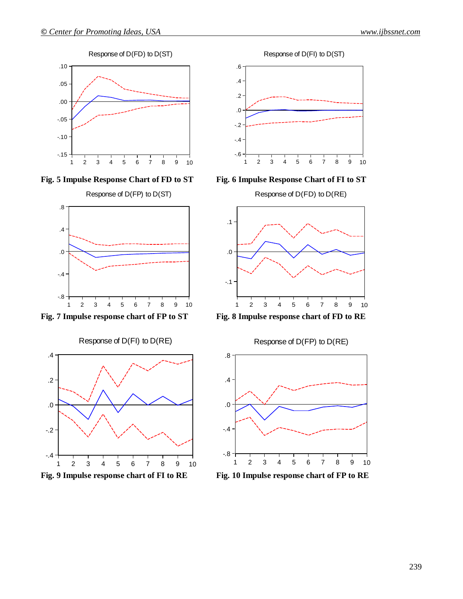





Response of D(FI) to D(RE)





**Fig. 5 Impulse Response Chart of FD to ST Fig. 6 Impulse Response Chart of FI to ST**



**Fig. 7 Impulse response chart of FP to ST Fig. 8 Impulse response chart of FD to RE**



**Fig. 9 Impulse response chart of FI to RE Fig. 10 Impulse response chart of FP to RE**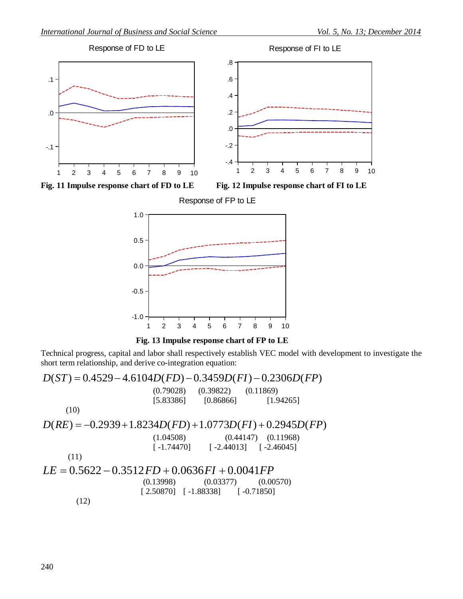

**Fig. 11 Impulse response chart of FD to LE Fig. 12 Impulse response chart of FI to LE**







Technical progress, capital and labor shall respectively establish VEC model with development to investigate the short term relationship, and derive co-integration equation:

 $D(ST) = 0.4529 - 4.6104D(FD) - 0.3459D(FI) - 0.2306D(FP)$ (0.79028) (0.39822) (0.11869) [5.83386] [0.86866] [1.94265] (10)  $D(RE) = -0.2939 + 1.8234D(FD) + 1.0773D(FI) + 0.2945D(FP)$ (1.04508) (0.44147) (0.11968)  $[-1.74470]$   $[-2.44013]$   $[-2.46045]$ (11)  $LE = 0.5622 - 0.3512FD + 0.0636FI + 0.0041FP$  (0.13998) (0.03377) (0.00570) [ 2.50870] [ -1.88338] [ -0.71850] (12)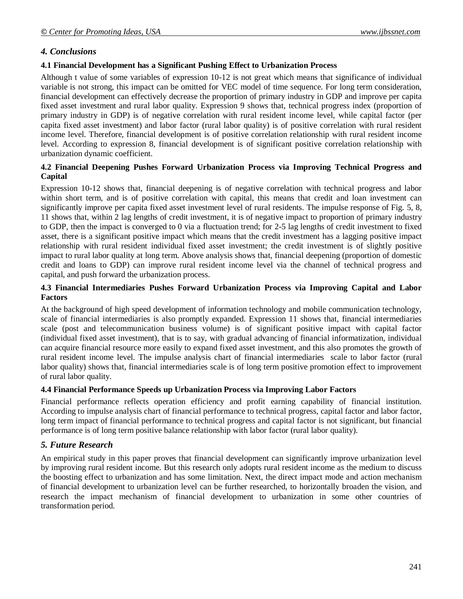## *4. Conclusions*

#### **4.1 Financial Development has a Significant Pushing Effect to Urbanization Process**

Although t value of some variables of expression 10-12 is not great which means that significance of individual variable is not strong, this impact can be omitted for VEC model of time sequence. For long term consideration, financial development can effectively decrease the proportion of primary industry in GDP and improve per capita fixed asset investment and rural labor quality. Expression 9 shows that, technical progress index (proportion of primary industry in GDP) is of negative correlation with rural resident income level, while capital factor (per capita fixed asset investment) and labor factor (rural labor quality) is of positive correlation with rural resident income level. Therefore, financial development is of positive correlation relationship with rural resident income level. According to expression 8, financial development is of significant positive correlation relationship with urbanization dynamic coefficient.

#### **4.2 Financial Deepening Pushes Forward Urbanization Process via Improving Technical Progress and Capital**

Expression 10-12 shows that, financial deepening is of negative correlation with technical progress and labor within short term, and is of positive correlation with capital, this means that credit and loan investment can significantly improve per capita fixed asset investment level of rural residents. The impulse response of Fig. 5, 8, 11 shows that, within 2 lag lengths of credit investment, it is of negative impact to proportion of primary industry to GDP, then the impact is converged to 0 via a fluctuation trend; for 2-5 lag lengths of credit investment to fixed asset, there is a significant positive impact which means that the credit investment has a lagging positive impact relationship with rural resident individual fixed asset investment; the credit investment is of slightly positive impact to rural labor quality at long term. Above analysis shows that, financial deepening (proportion of domestic credit and loans to GDP) can improve rural resident income level via the channel of technical progress and capital, and push forward the urbanization process.

## **4.3 Financial Intermediaries Pushes Forward Urbanization Process via Improving Capital and Labor Factors**

At the background of high speed development of information technology and mobile communication technology, scale of financial intermediaries is also promptly expanded. Expression 11 shows that, financial intermediaries scale (post and telecommunication business volume) is of significant positive impact with capital factor (individual fixed asset investment), that is to say, with gradual advancing of financial informatization, individual can acquire financial resource more easily to expand fixed asset investment, and this also promotes the growth of rural resident income level. The impulse analysis chart of financial intermediaries scale to labor factor (rural labor quality) shows that, financial intermediaries scale is of long term positive promotion effect to improvement of rural labor quality.

## **4.4 Financial Performance Speeds up Urbanization Process via Improving Labor Factors**

Financial performance reflects operation efficiency and profit earning capability of financial institution. According to impulse analysis chart of financial performance to technical progress, capital factor and labor factor, long term impact of financial performance to technical progress and capital factor is not significant, but financial performance is of long term positive balance relationship with labor factor (rural labor quality).

## *5. Future Research*

An empirical study in this paper proves that financial development can significantly improve urbanization level by improving rural resident income. But this research only adopts rural resident income as the medium to discuss the boosting effect to urbanization and has some limitation. Next, the direct impact mode and action mechanism of financial development to urbanization level can be further researched, to horizontally broaden the vision, and research the impact mechanism of financial development to urbanization in some other countries of transformation period.